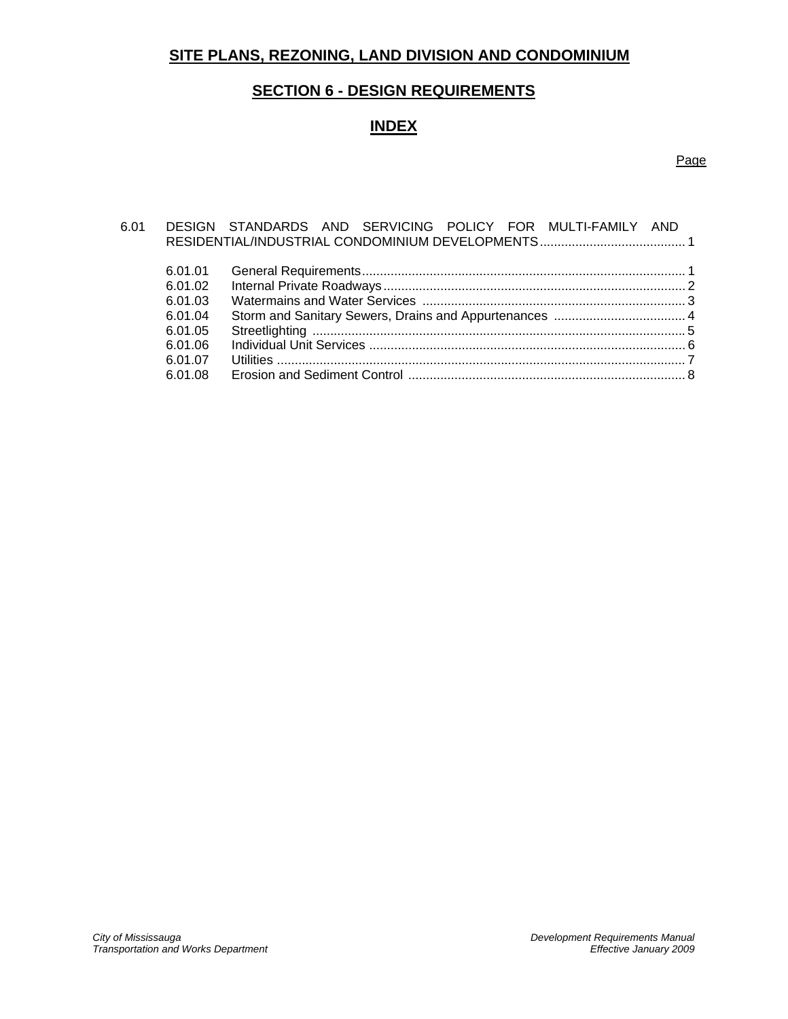# **SITE PLANS, REZONING, LAND DIVISION AND CONDOMINIUM**

# **SECTION 6 - DESIGN REQUIREMENTS**

# **INDEX**

# Page

| 6.01 |         | DESIGN STANDARDS AND SERVICING POLICY FOR MULTI-FAMILY AND |  |
|------|---------|------------------------------------------------------------|--|
|      |         |                                                            |  |
|      |         |                                                            |  |
|      | 6.01.01 |                                                            |  |
|      | 6.01.02 |                                                            |  |
|      | 6.01.03 |                                                            |  |
|      | 6.01.04 |                                                            |  |
|      | 6.01.05 |                                                            |  |
|      | 6.01.06 |                                                            |  |
|      | 6.01.07 |                                                            |  |
|      | 6.01.08 |                                                            |  |
|      |         |                                                            |  |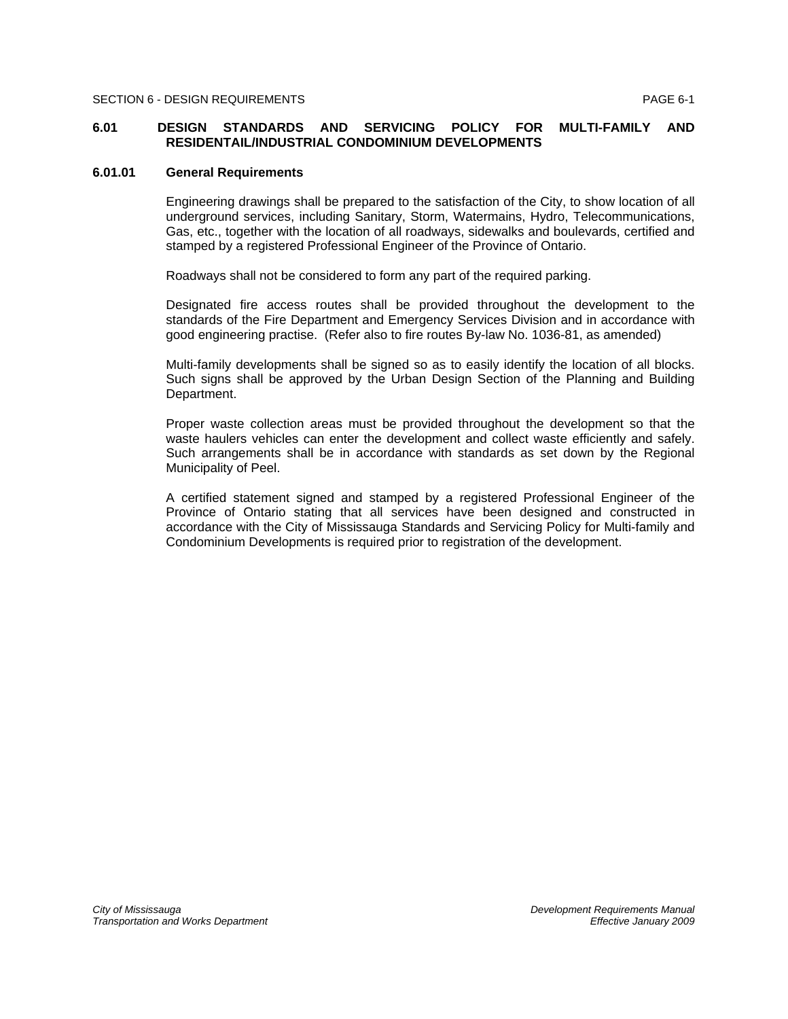### **6.01 DESIGN STANDARDS AND SERVICING POLICY FOR MULTI-FAMILY AND RESIDENTAIL/INDUSTRIAL CONDOMINIUM DEVELOPMENTS**

### **6.01.01 General Requirements**

Engineering drawings shall be prepared to the satisfaction of the City, to show location of all underground services, including Sanitary, Storm, Watermains, Hydro, Telecommunications, Gas, etc., together with the location of all roadways, sidewalks and boulevards, certified and stamped by a registered Professional Engineer of the Province of Ontario.

Roadways shall not be considered to form any part of the required parking.

Designated fire access routes shall be provided throughout the development to the standards of the Fire Department and Emergency Services Division and in accordance with good engineering practise. (Refer also to fire routes By-law No. 1036-81, as amended)

Multi-family developments shall be signed so as to easily identify the location of all blocks. Such signs shall be approved by the Urban Design Section of the Planning and Building Department.

Proper waste collection areas must be provided throughout the development so that the waste haulers vehicles can enter the development and collect waste efficiently and safely. Such arrangements shall be in accordance with standards as set down by the Regional Municipality of Peel.

A certified statement signed and stamped by a registered Professional Engineer of the Province of Ontario stating that all services have been designed and constructed in accordance with the City of Mississauga Standards and Servicing Policy for Multi-family and Condominium Developments is required prior to registration of the development.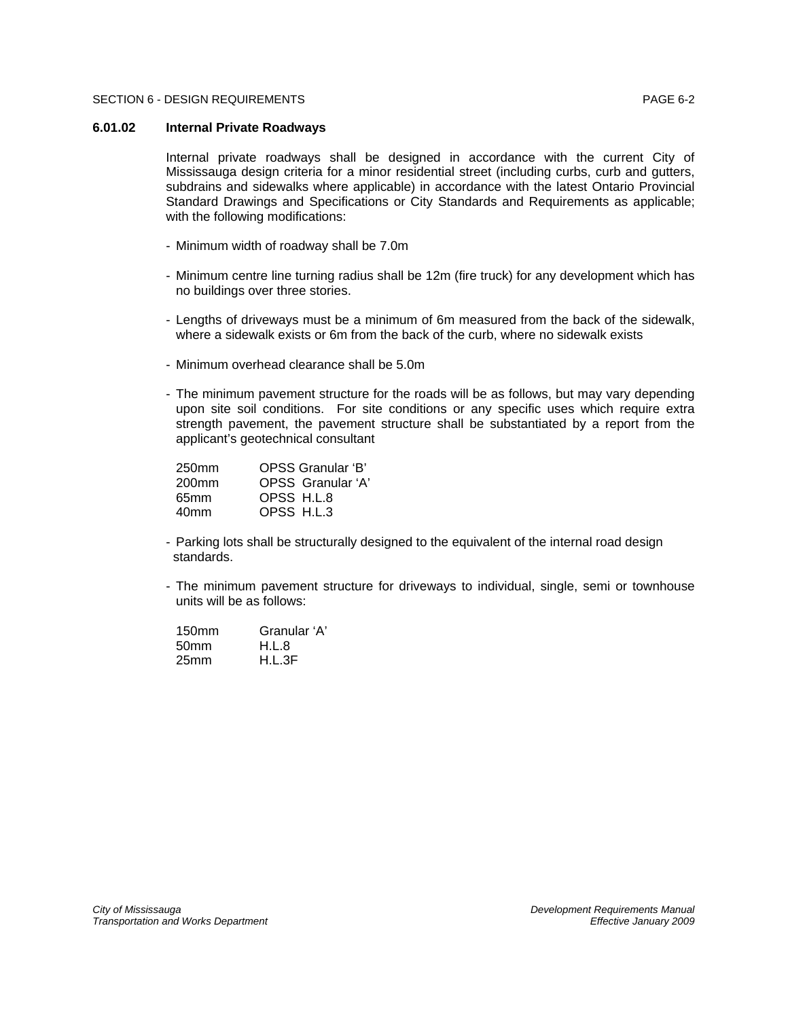## **6.01.02 Internal Private Roadways**

Internal private roadways shall be designed in accordance with the current City of Mississauga design criteria for a minor residential street (including curbs, curb and gutters, subdrains and sidewalks where applicable) in accordance with the latest Ontario Provincial Standard Drawings and Specifications or City Standards and Requirements as applicable; with the following modifications:

- Minimum width of roadway shall be 7.0m
- Minimum centre line turning radius shall be 12m (fire truck) for any development which has no buildings over three stories.
- Lengths of driveways must be a minimum of 6m measured from the back of the sidewalk, where a sidewalk exists or 6m from the back of the curb, where no sidewalk exists
- Minimum overhead clearance shall be 5.0m
- The minimum pavement structure for the roads will be as follows, but may vary depending upon site soil conditions. For site conditions or any specific uses which require extra strength pavement, the pavement structure shall be substantiated by a report from the applicant's geotechnical consultant

| OPSS Granular 'B' |
|-------------------|
| OPSS Granular 'A' |
| OPSS H.L.8        |
| OPSS H.L.3        |
|                   |

- Parking lots shall be structurally designed to the equivalent of the internal road design standards.
- The minimum pavement structure for driveways to individual, single, semi or townhouse units will be as follows:

| 150 <sub>mm</sub> | Granular 'A' |
|-------------------|--------------|
| 50 <sub>mm</sub>  | H.L.8        |
| 25 <sub>mm</sub>  | H.L.3F       |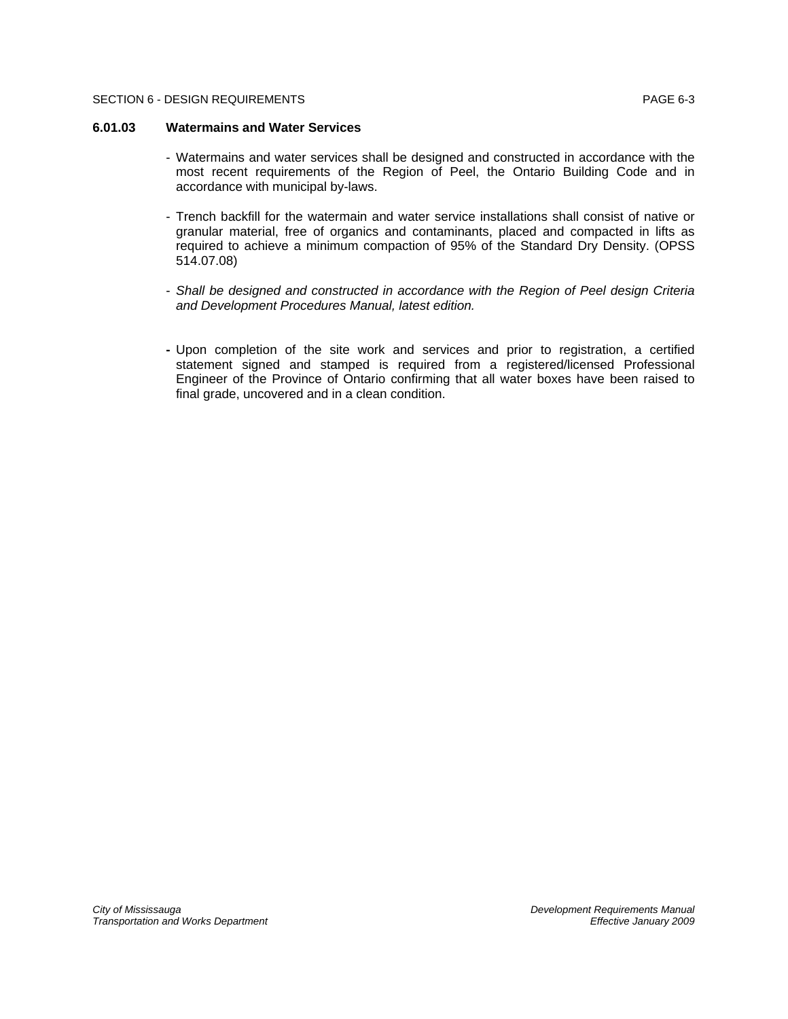### **6.01.03 Watermains and Water Services**

- Watermains and water services shall be designed and constructed in accordance with the most recent requirements of the Region of Peel, the Ontario Building Code and in accordance with municipal by-laws.
- Trench backfill for the watermain and water service installations shall consist of native or granular material, free of organics and contaminants, placed and compacted in lifts as required to achieve a minimum compaction of 95% of the Standard Dry Density. (OPSS 514.07.08)
- *Shall be designed and constructed in accordance with the Region of Peel design Criteria and Development Procedures Manual, latest edition.*
- Upon completion of the site work and services and prior to registration, a certified statement signed and stamped is required from a registered/licensed Professional Engineer of the Province of Ontario confirming that all water boxes have been raised to final grade, uncovered and in a clean condition.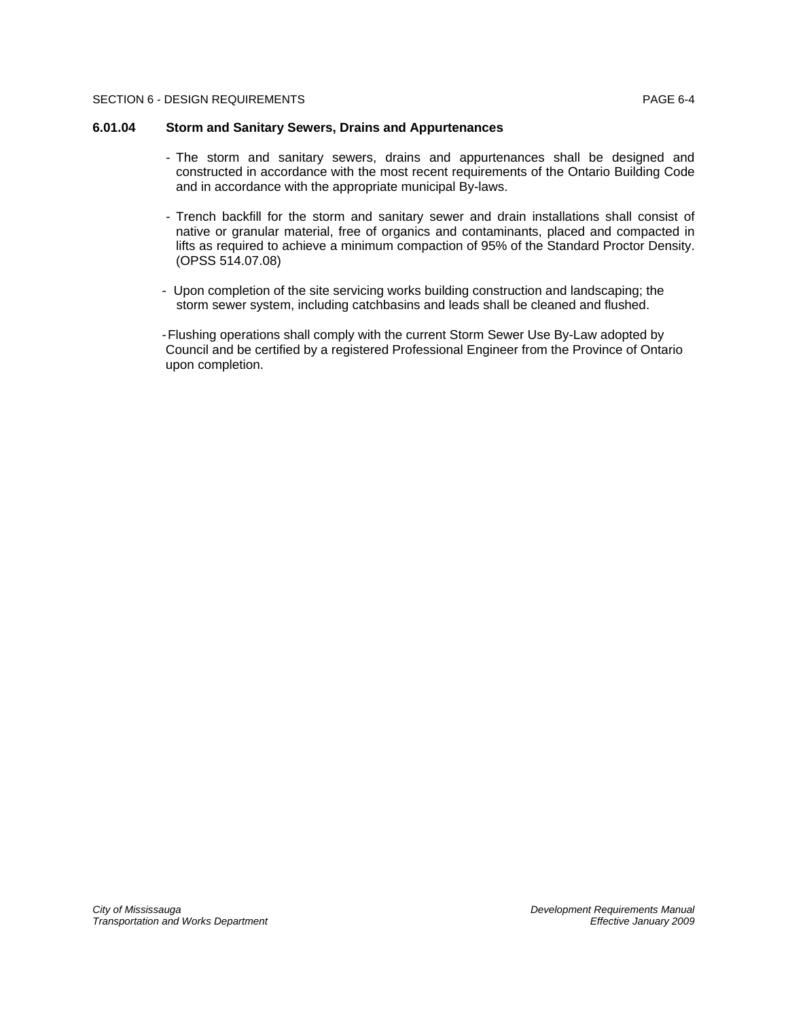### **6.01.04 Storm and Sanitary Sewers, Drains and Appurtenances**

- The storm and sanitary sewers, drains and appurtenances shall be designed and constructed in accordance with the most recent requirements of the Ontario Building Code and in accordance with the appropriate municipal By-laws.
- Trench backfill for the storm and sanitary sewer and drain installations shall consist of native or granular material, free of organics and contaminants, placed and compacted in lifts as required to achieve a minimum compaction of 95% of the Standard Proctor Density. (OPSS 514.07.08)
- Upon completion of the site servicing works building construction and landscaping; the storm sewer system, including catchbasins and leads shall be cleaned and flushed.

- Flushing operations shall comply with the current Storm Sewer Use By-Law adopted by Council and be certified by a registered Professional Engineer from the Province of Ontario upon completion.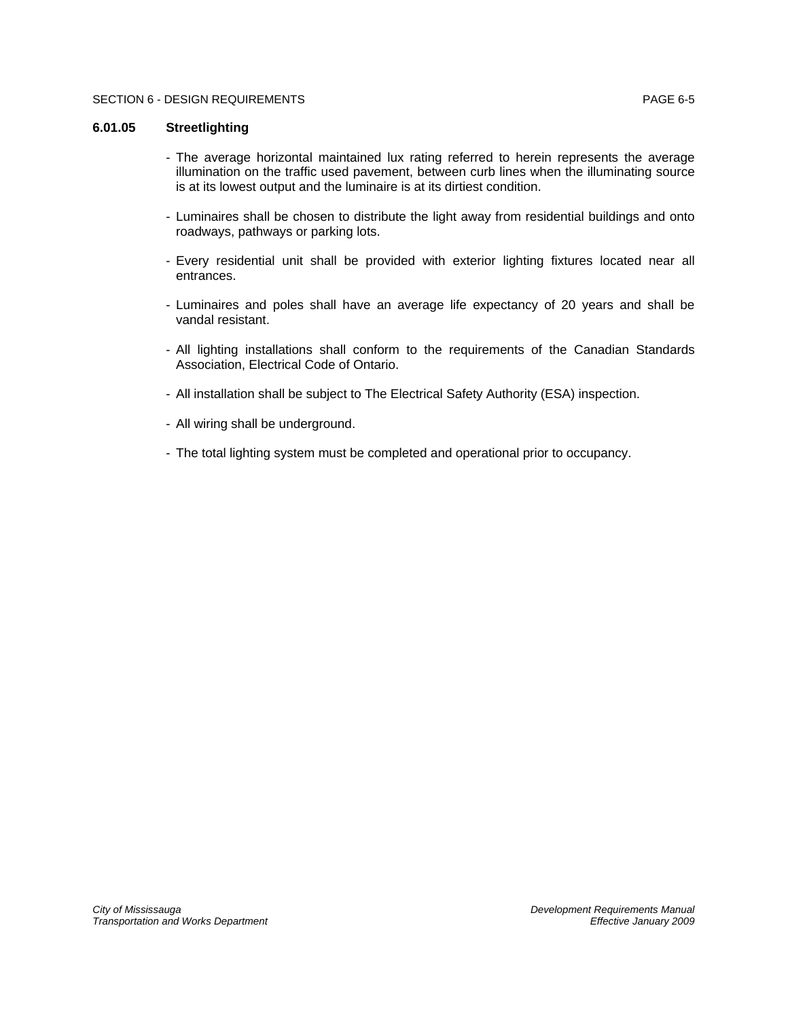# **6.01.05 Streetlighting**

- The average horizontal maintained lux rating referred to herein represents the average illumination on the traffic used pavement, between curb lines when the illuminating source is at its lowest output and the luminaire is at its dirtiest condition.
- Luminaires shall be chosen to distribute the light away from residential buildings and onto roadways, pathways or parking lots.
- Every residential unit shall be provided with exterior lighting fixtures located near all entrances.
- Luminaires and poles shall have an average life expectancy of 20 years and shall be vandal resistant.
- All lighting installations shall conform to the requirements of the Canadian Standards Association, Electrical Code of Ontario.
- All installation shall be subject to The Electrical Safety Authority (ESA) inspection.
- All wiring shall be underground.
- The total lighting system must be completed and operational prior to occupancy.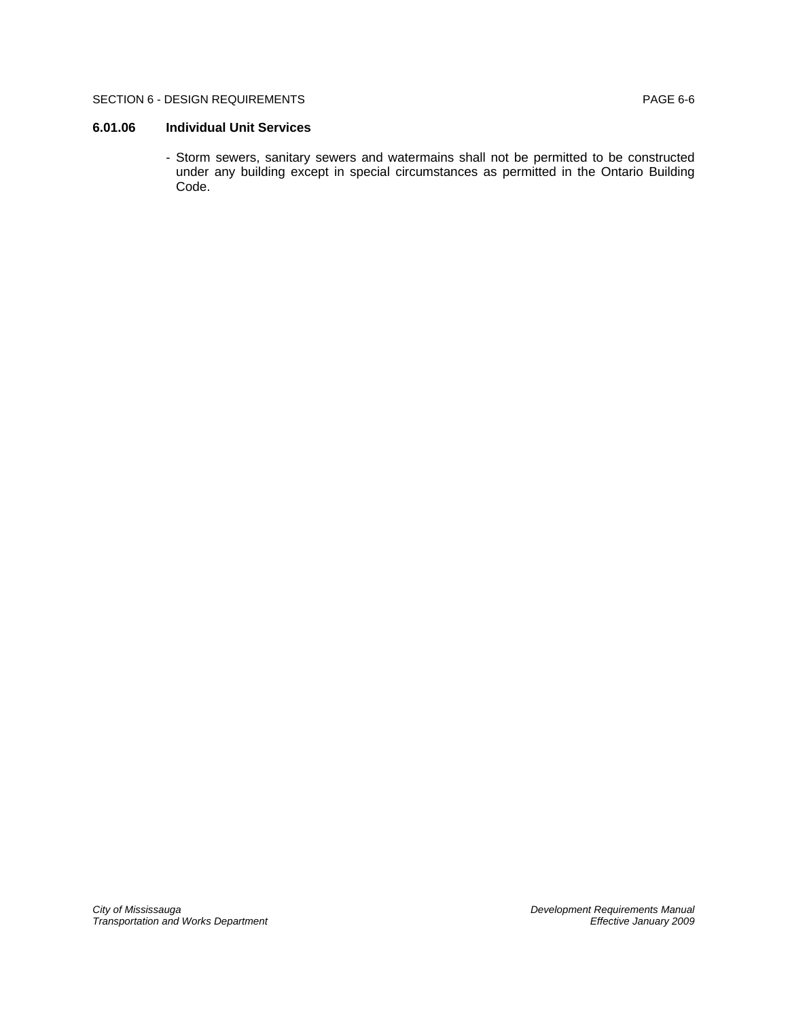### SECTION 6 - DESIGN REQUIREMENTS **EXAMPLE 1999** PAGE 6-6

# **6.01.06 Individual Unit Services**

- Storm sewers, sanitary sewers and watermains shall not be permitted to be constructed under any building except in special circumstances as permitted in the Ontario Building Code.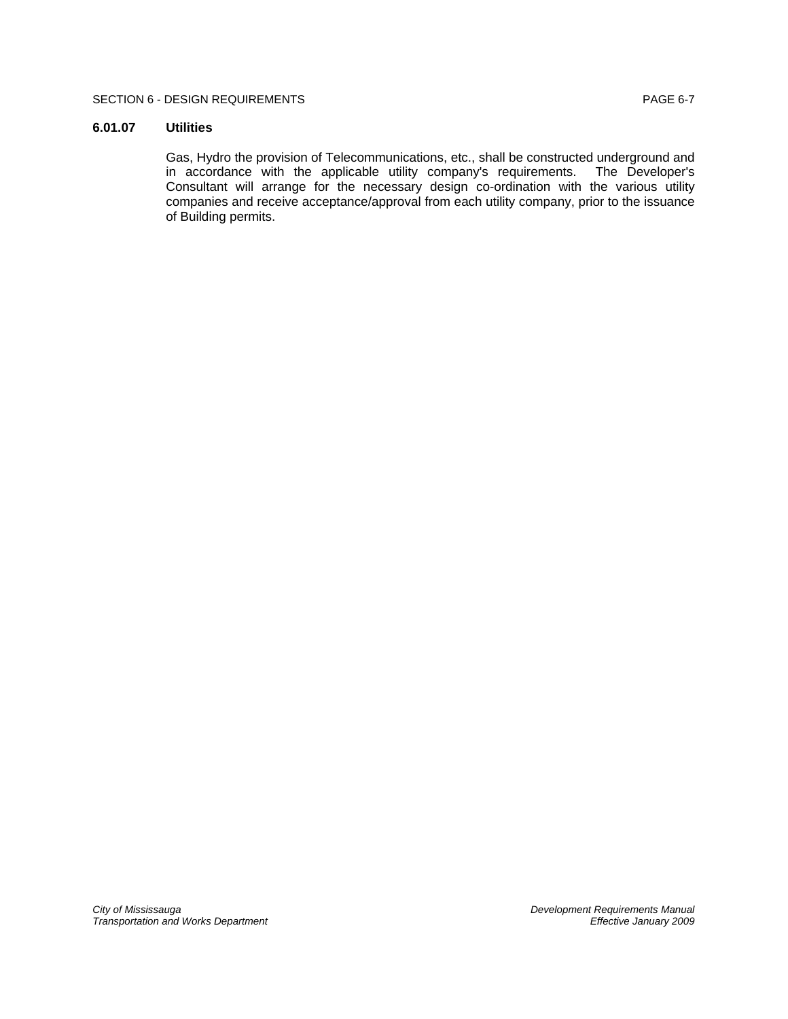## SECTION 6 - DESIGN REQUIREMENTS **EXAMPLE 1999** PAGE 6-7

# **6.01.07 Utilities**

Gas, Hydro the provision of Telecommunications, etc., shall be constructed underground and in accordance with the applicable utility company's requirements. The Developer's Consultant will arrange for the necessary design co-ordination with the various utility companies and receive acceptance/approval from each utility company, prior to the issuance of Building permits.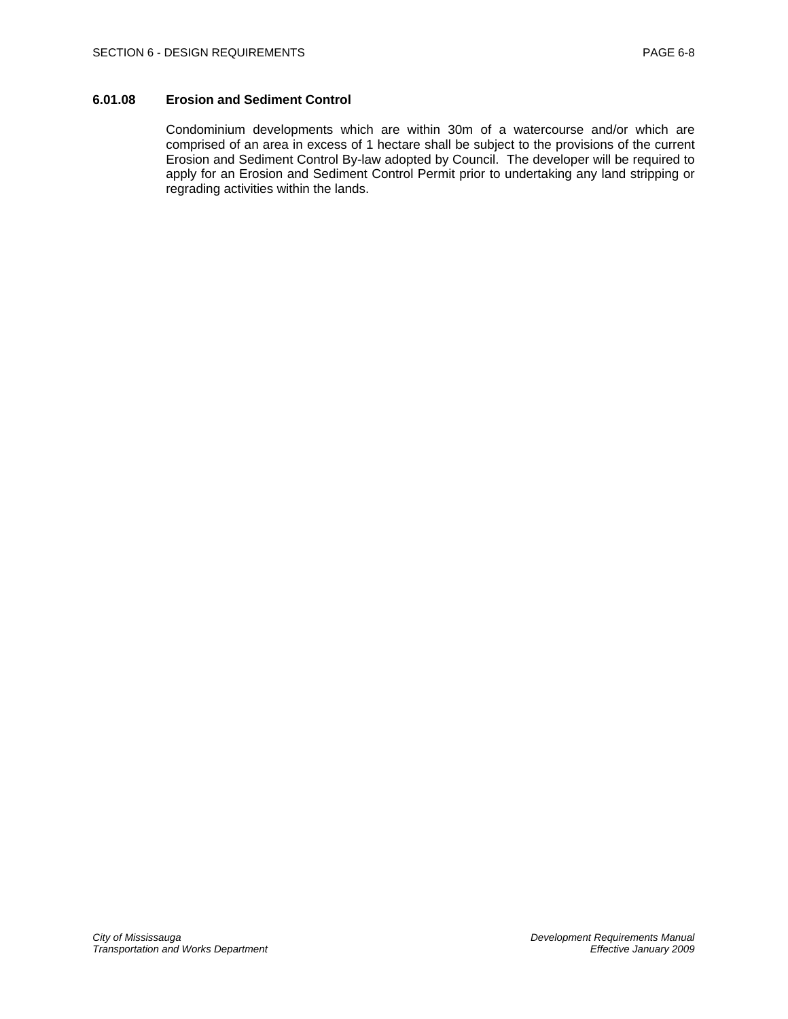# **6.01.08 Erosion and Sediment Control**

Condominium developments which are within 30m of a watercourse and/or which are comprised of an area in excess of 1 hectare shall be subject to the provisions of the current Erosion and Sediment Control By-law adopted by Council. The developer will be required to apply for an Erosion and Sediment Control Permit prior to undertaking any land stripping or regrading activities within the lands.